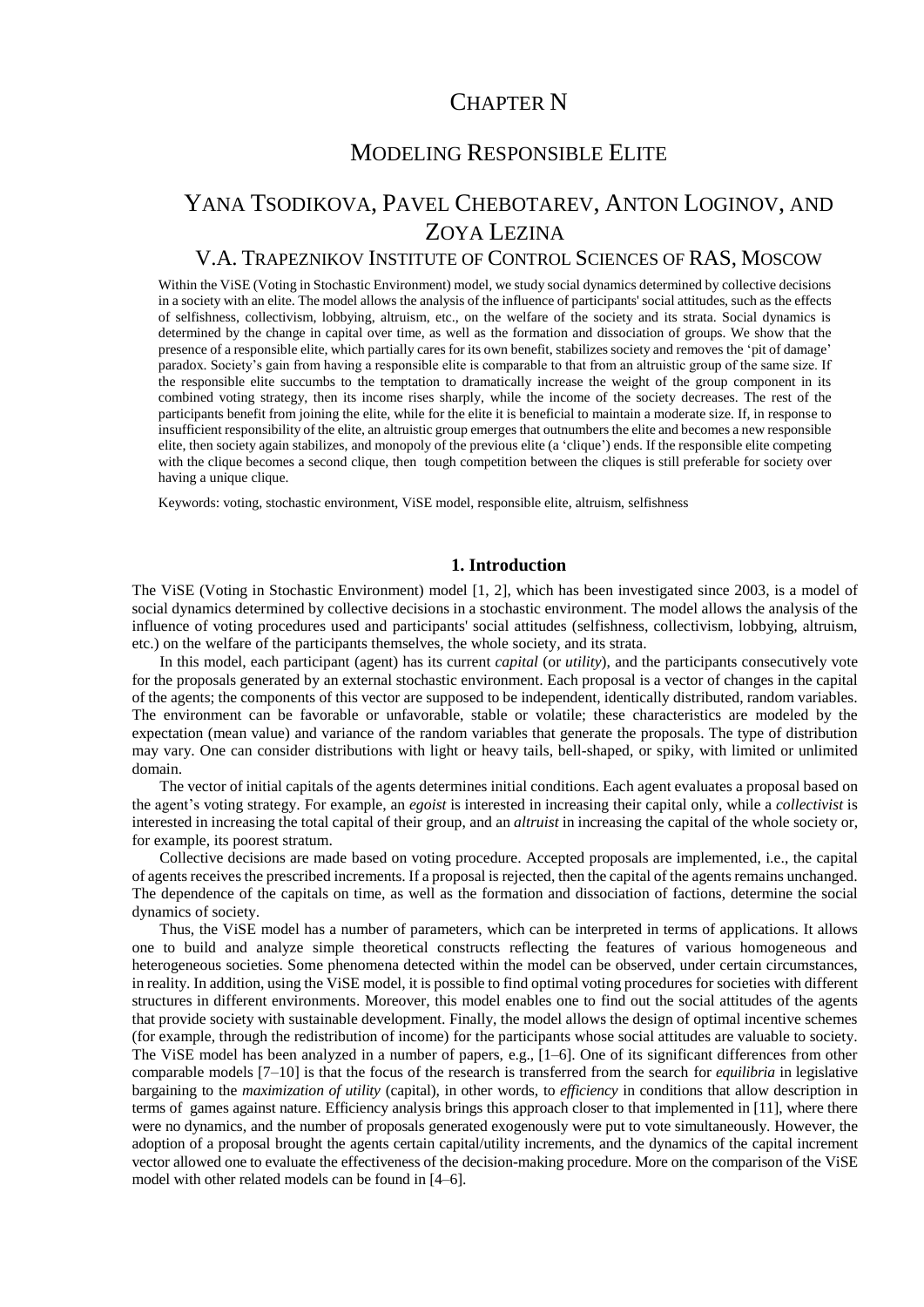# CHAPTER N

# MODELING RESPONSIBLE ELITE

# YANA TSODIKOVA, PAVEL CHEBOTAREV, ANTON LOGINOV, AND ZOYA LEZINA

### V.A. TRAPEZNIKOV INSTITUTE OF CONTROL SCIENCES OF RAS, MOSCOW

Within the ViSE (Voting in Stochastic Environment) model, we study social dynamics determined by collective decisions in a society with an elite. The model allows the analysis of the influence of participants' social attitudes, such as the effects of selfishness, collectivism, lobbying, altruism, etc., on the welfare of the society and its strata. Social dynamics is determined by the change in capital over time, as well as the formation and dissociation of groups. We show that the presence of a responsible elite, which partially cares for its own benefit, stabilizes society and removes the 'pit of damage' paradox. Society's gain from having a responsible elite is comparable to that from an altruistic group of the same size. If the responsible elite succumbs to the temptation to dramatically increase the weight of the group component in its combined voting strategy, then its income rises sharply, while the income of the society decreases. The rest of the participants benefit from joining the elite, while for the elite it is beneficial to maintain a moderate size. If, in response to insufficient responsibility of the elite, an altruistic group emerges that outnumbers the elite and becomes a new responsible elite, then society again stabilizes, and monopoly of the previous elite (a 'clique') ends. If the responsible elite competing with the clique becomes a second clique, then tough competition between the cliques is still preferable for society over having a unique clique.

Keywords: voting, stochastic environment, ViSE model, responsible elite, altruism, selfishness

#### **1. Introduction**

The ViSE (Voting in Stochastic Environment) model [1, 2], which has been investigated since 2003, is a model of social dynamics determined by collective decisions in a stochastic environment. The model allows the analysis of the influence of voting procedures used and participants' social attitudes (selfishness, collectivism, lobbying, altruism, etc.) on the welfare of the participants themselves, the whole society, and its strata.

In this model, each participant (agent) has its current *capital* (or *utility*), and the participants consecutively vote for the proposals generated by an external stochastic environment. Each proposal is a vector of changes in the capital of the agents; the components of this vector are supposed to be independent, identically distributed, random variables. The environment can be favorable or unfavorable, stable or volatile; these characteristics are modeled by the expectation (mean value) and variance of the random variables that generate the proposals. The type of distribution may vary. One can consider distributions with light or heavy tails, bell-shaped, or spiky, with limited or unlimited domain.

The vector of initial capitals of the agents determines initial conditions. Each agent evaluates a proposal based on the agent's voting strategy. For example, an *egoist* is interested in increasing their capital only, while a *collectivist* is interested in increasing the total capital of their group, and an *altruist* in increasing the capital of the whole society or, for example, its poorest stratum.

Collective decisions are made based on voting procedure. Accepted proposals are implemented, i.e., the capital of agents receives the prescribed increments. If a proposal is rejected, then the capital of the agents remains unchanged. The dependence of the capitals on time, as well as the formation and dissociation of factions, determine the social dynamics of society.

Thus, the ViSE model has a number of parameters, which can be interpreted in terms of applications. It allows one to build and analyze simple theoretical constructs reflecting the features of various homogeneous and heterogeneous societies. Some phenomena detected within the model can be observed, under certain circumstances, in reality. In addition, using the ViSE model, it is possible to find optimal voting procedures for societies with different structures in different environments. Moreover, this model enables one to find out the social attitudes of the agents that provide society with sustainable development. Finally, the model allows the design of optimal incentive schemes (for example, through the redistribution of income) for the participants whose social attitudes are valuable to society. The ViSE model has been analyzed in a number of papers, e.g., [1–6]. One of its significant differences from other comparable models [7–10] is that the focus of the research is transferred from the search for *equilibria* in legislative bargaining to the *maximization of utility* (capital), in other words, to *efficiency* in conditions that allow description in terms of games against nature. Efficiency analysis brings this approach closer to that implemented in [11], where there were no dynamics, and the number of proposals generated exogenously were put to vote simultaneously. However, the adoption of a proposal brought the agents certain capital/utility increments, and the dynamics of the capital increment vector allowed one to evaluate the effectiveness of the decision-making procedure. More on the comparison of the ViSE model with other related models can be found in [4–6].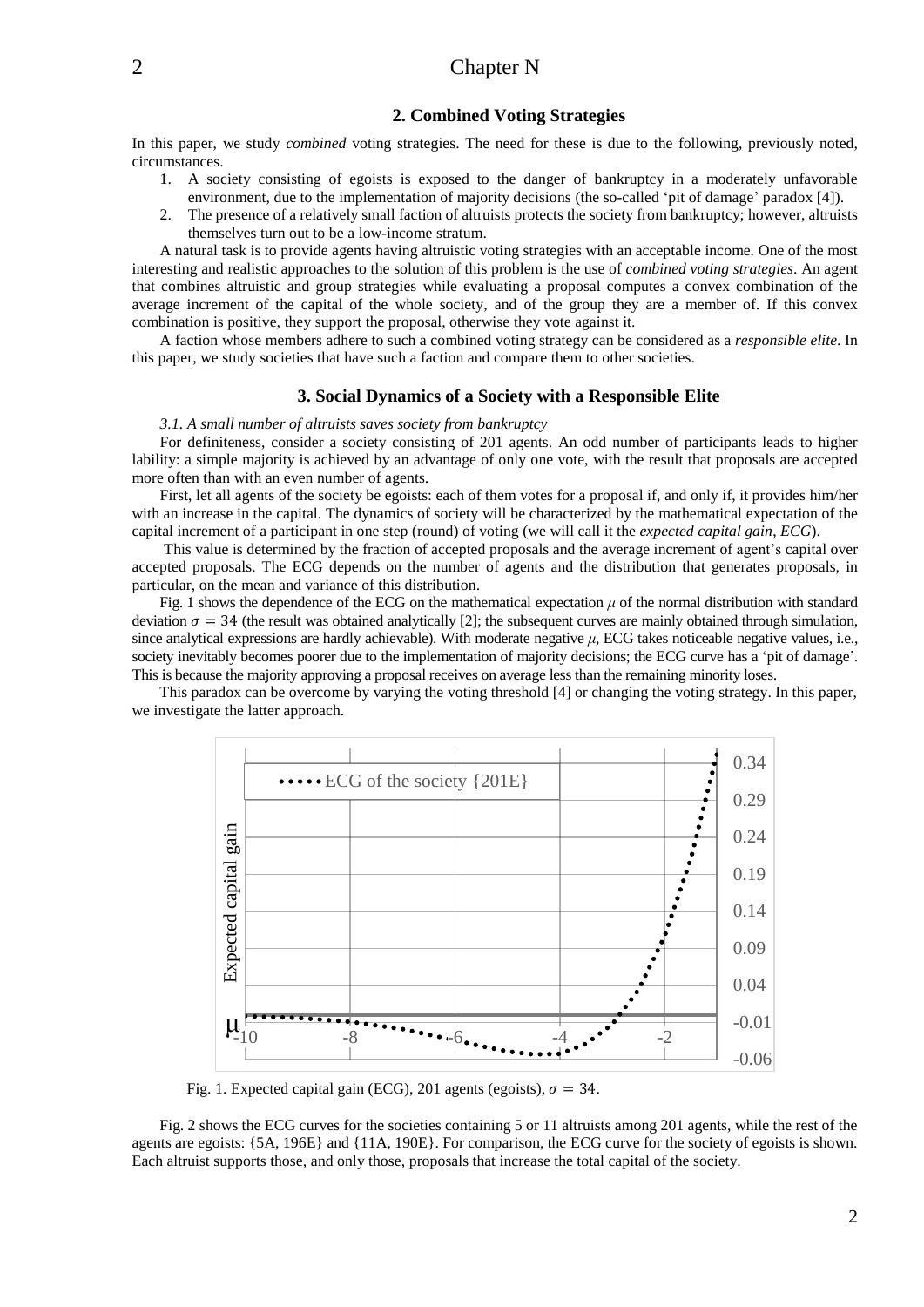#### **2. Combined Voting Strategies**

In this paper, we study *combined* voting strategies. The need for these is due to the following, previously noted, circumstances.

- 1. A society consisting of egoists is exposed to the danger of bankruptcy in a moderately unfavorable environment, due to the implementation of majority decisions (the so-called 'pit of damage' paradox [4]).
- 2. The presence of a relatively small faction of altruists protects the society from bankruptcy; however, altruists themselves turn out to be a low-income stratum.

A natural task is to provide agents having altruistic voting strategies with an acceptable income. One of the most interesting and realistic approaches to the solution of this problem is the use of *combined voting strategies*. An agent that combines altruistic and group strategies while evaluating a proposal computes a convex combination of the average increment of the capital of the whole society, and of the group they are a member of. If this convex combination is positive, they support the proposal, otherwise they vote against it.

A faction whose members adhere to such a combined voting strategy can be considered as a *responsible elite*. In this paper, we study societies that have such a faction and compare them to other societies.

#### **3. Social Dynamics of a Society with a Responsible Elite**

#### *3.1. A small number of altruists saves society from bankruptcy*

For definiteness, consider a society consisting of 201 agents. An odd number of participants leads to higher lability: a simple majority is achieved by an advantage of only one vote, with the result that proposals are accepted more often than with an even number of agents.

First, let all agents of the society be egoists: each of them votes for a proposal if, and only if, it provides him/her with an increase in the capital. The dynamics of society will be characterized by the mathematical expectation of the capital increment of a participant in one step (round) of voting (we will call it the *expected capital gain*, *ECG*).

This value is determined by the fraction of accepted proposals and the average increment of agent's capital over accepted proposals. The ECG depends on the number of agents and the distribution that generates proposals, in particular, on the mean and variance of this distribution.

Fig. 1 shows the dependence of the ECG on the mathematical expectation  $\mu$  of the normal distribution with standard deviation  $\sigma = 34$  (the result was obtained analytically [2]; the subsequent curves are mainly obtained through simulation, since analytical expressions are hardly achievable). With moderate negative *μ*, ECG takes noticeable negative values, i.e., society inevitably becomes poorer due to the implementation of majority decisions; the ECG curve has a 'pit of damage'. This is because the majority approving a proposal receives on average less than the remaining minority loses.

This paradox can be overcome by varying the voting threshold [4] or changing the voting strategy. In this paper, we investigate the latter approach.



Fig. 1. Expected capital gain (ECG), 201 agents (egoists),  $\sigma = 34$ .

Fig. 2 shows the ECG curves for the societies containing 5 or 11 altruists among 201 agents, while the rest of the agents are egoists: {5A, 196E} and {11A, 190E}. For comparison, the ECG curve for the society of egoists is shown. Each altruist supports those, and only those, proposals that increase the total capital of the society.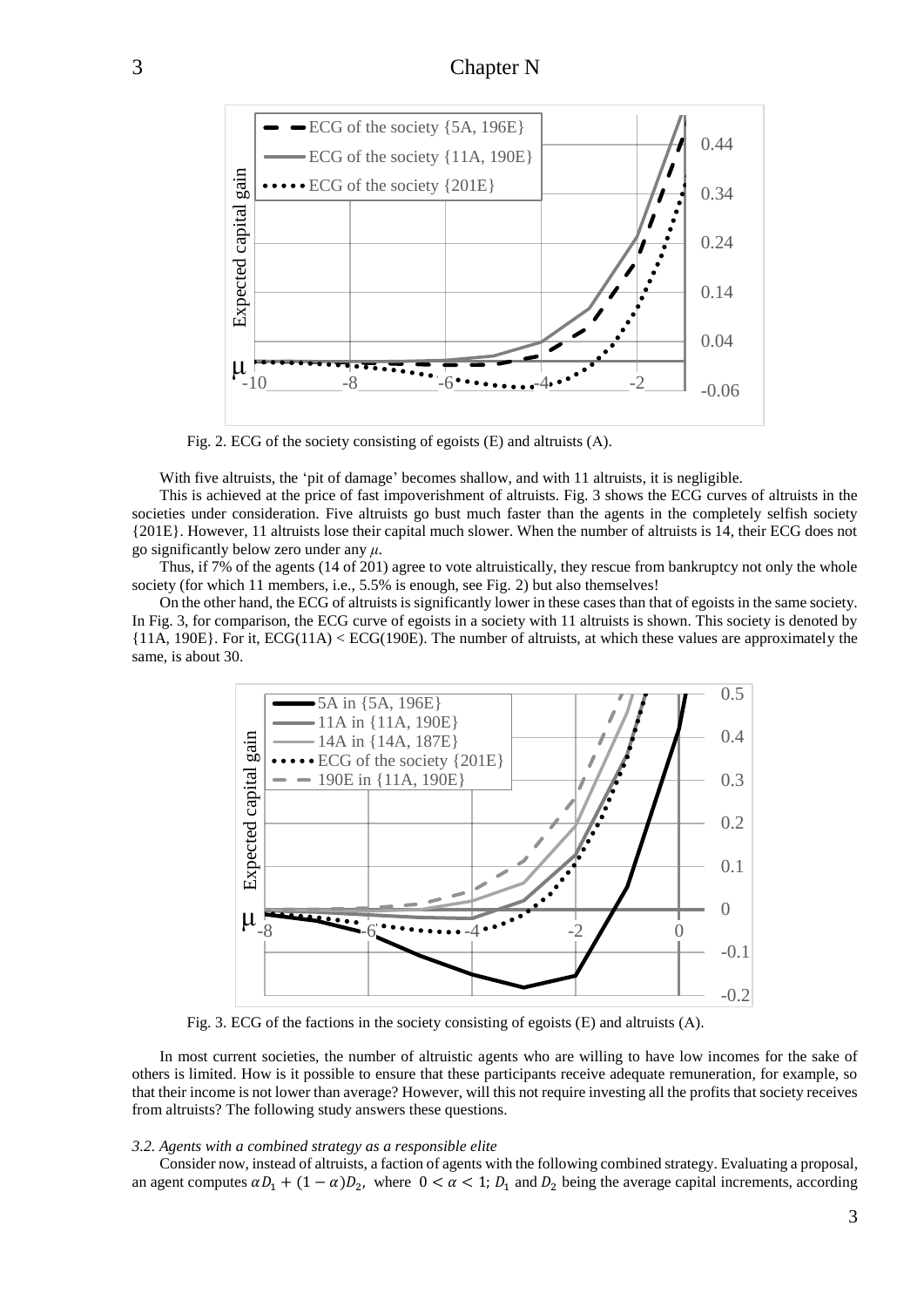

Fig. 2. ECG of the society consisting of egoists (Е) and altruists (А).

With five altruists, the 'pit of damage' becomes shallow, and with 11 altruists, it is negligible.

This is achieved at the price of fast impoverishment of altruists. Fig. 3 shows the ECG curves of altruists in the societies under consideration. Five altruists go bust much faster than the agents in the completely selfish society {201E}. However, 11 altruists lose their capital much slower. When the number of altruists is 14, their ECG does not go significantly below zero under any *μ*.

Thus, if 7% of the agents (14 of 201) agree to vote altruistically, they rescue from bankruptcy not only the whole society (for which 11 members, i.e., 5.5% is enough, see Fig. 2) but also themselves!

On the other hand, the ECG of altruists is significantly lower in these cases than that of egoists in the same society. In Fig. 3, for comparison, the ECG curve of egoists in a society with 11 altruists is shown. This society is denoted by {11A, 190E}. For it, ECG(11A) < ECG(190E). The number of altruists, at which these values are approximately the same, is about 30.



Fig. 3. ECG of the factions in the society consisting of egoists (E) and altruists (A).

In most current societies, the number of altruistic agents who are willing to have low incomes for the sake of others is limited. How is it possible to ensure that these participants receive adequate remuneration, for example, so that their income is not lower than average? However, will this not require investing all the profits that society receives from altruists? The following study answers these questions.

#### *3.2. Agents with a combined strategy as a responsible elite*

Consider now, instead of altruists, a faction of agents with the following combined strategy. Evaluating a proposal, an agent computes  $\alpha D_1 + (1 - \alpha)D_2$ , where  $0 < \alpha < 1$ ;  $D_1$  and  $D_2$  being the average capital increments, according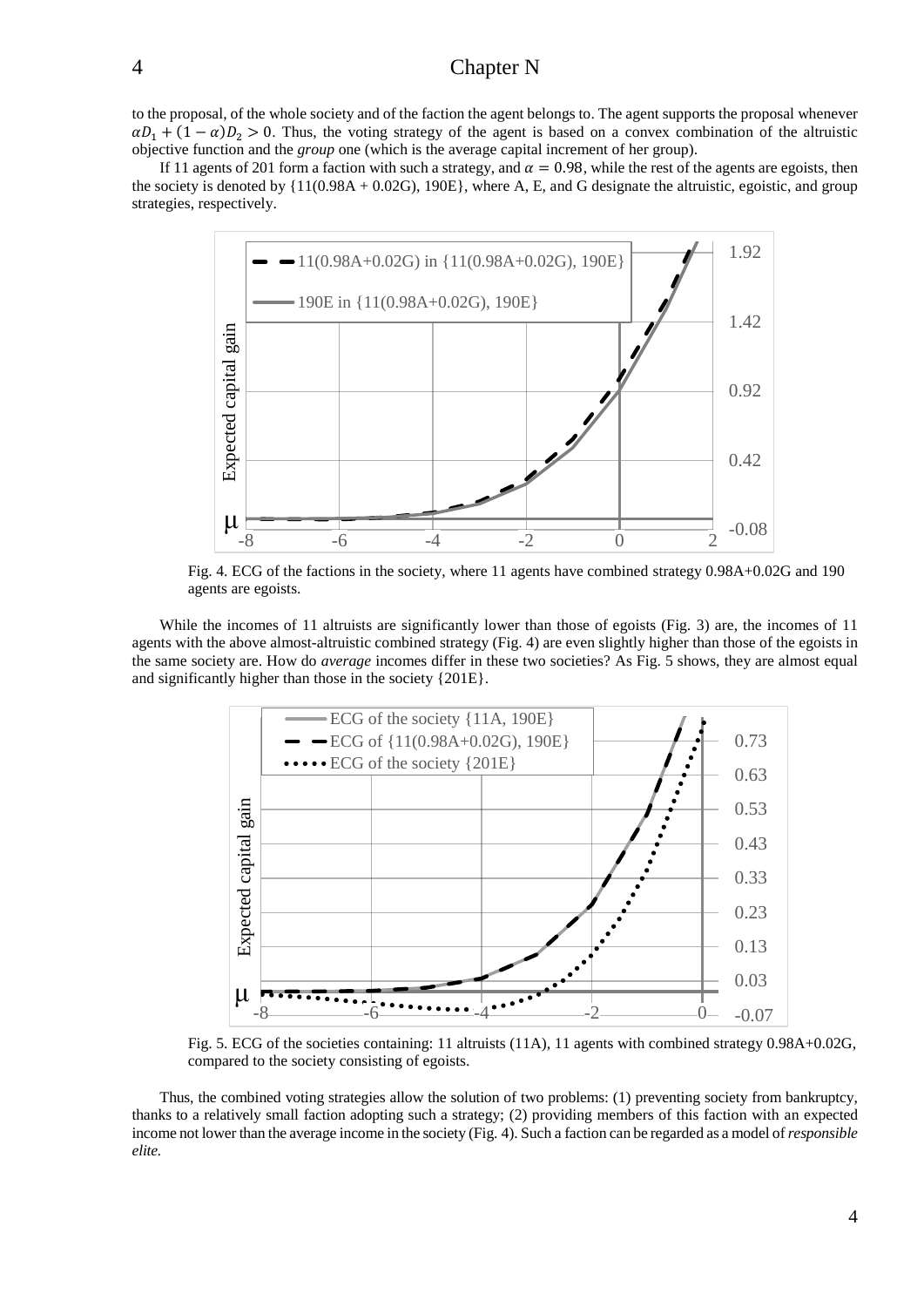to the proposal, of the whole society and of the faction the agent belongs to. The agent supports the proposal whenever  $\alpha D_1 + (1 - \alpha)D_2 > 0$ . Thus, the voting strategy of the agent is based on a convex combination of the altruistic objective function and the *group* one (which is the average capital increment of her group).

If 11 agents of 201 form a faction with such a strategy, and  $\alpha = 0.98$ , while the rest of the agents are egoists, then the society is denoted by  $\{11(0.98A + 0.02G), 190E\}$ , where A, E, and G designate the altruistic, egoistic, and group strategies, respectively.



Fig. 4. ECG of the factions in the society, where 11 agents have combined strategy 0.98A+0.02G and 190 agents are egoists.

While the incomes of 11 altruists are significantly lower than those of egoists (Fig. 3) are, the incomes of 11 agents with the above almost-altruistic combined strategy (Fig. 4) are even slightly higher than those of the egoists in the same society are. How do *average* incomes differ in these two societies? As Fig. 5 shows, they are almost equal and significantly higher than those in the society {201E}.



Fig. 5. ECG of the societies containing: 11 altruists (11A), 11 agents with combined strategy 0.98A+0.02G, compared to the society consisting of egoists.

Thus, the combined voting strategies allow the solution of two problems: (1) preventing society from bankruptcy, thanks to a relatively small faction adopting such a strategy; (2) providing members of this faction with an expected income not lower than the average income in the society (Fig. 4). Such a faction can be regarded as a model of*responsible elite.*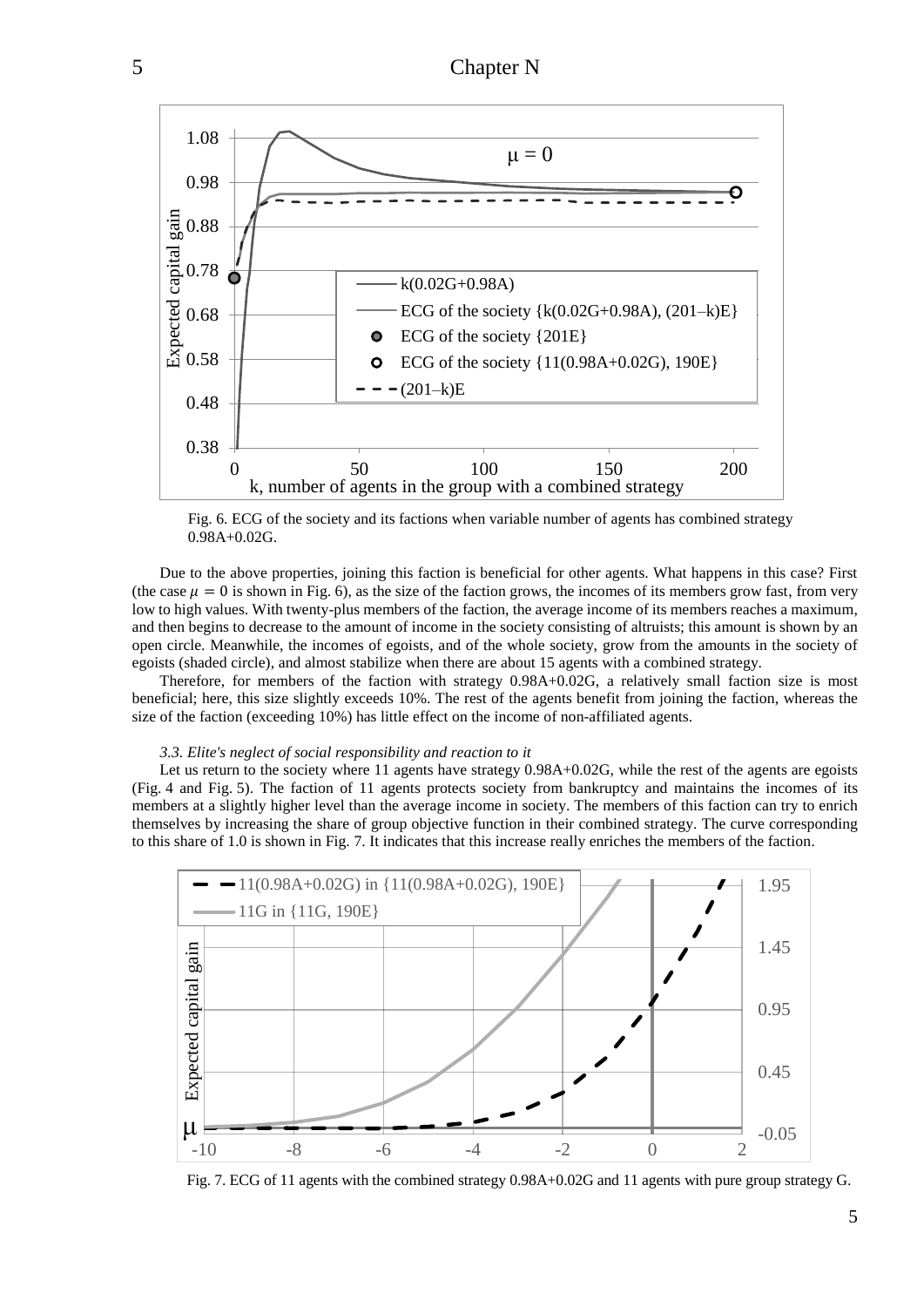

Fig. 6. ECG of the society and its factions when variable number of agents has combined strategy 0.98A+0.02G.

Due to the above properties, joining this faction is beneficial for other agents. What happens in this case? First (the case  $\mu = 0$  is shown in Fig. 6), as the size of the faction grows, the incomes of its members grow fast, from very low to high values. With twenty-plus members of the faction, the average income of its members reaches a maximum, and then begins to decrease to the amount of income in the society consisting of altruists; this amount is shown by an open circle. Meanwhile, the incomes of egoists, and of the whole society, grow from the amounts in the society of egoists (shaded circle), and almost stabilize when there are about 15 agents with a combined strategy.

Therefore, for members of the faction with strategy 0.98A+0.02G, a relatively small faction size is most beneficial; here, this size slightly exceeds 10%. The rest of the agents benefit from joining the faction, whereas the size of the faction (exceeding 10%) has little effect on the income of non-affiliated agents.

#### *3.3. Elite's neglect of social responsibility and reaction to it*

Let us return to the society where 11 agents have strategy 0.98A+0.02G, while the rest of the agents are egoists (Fig. 4 and Fig. 5). The faction of 11 agents protects society from bankruptcy and maintains the incomes of its members at a slightly higher level than the average income in society. The members of this faction can try to enrich themselves by increasing the share of group objective function in their combined strategy. The curve corresponding to this share of 1.0 is shown in Fig. 7. It indicates that this increase really enriches the members of the faction.



Fig. 7. ECG of 11 agents with the combined strategy 0.98A+0.02G and 11 agents with pure group strategy G.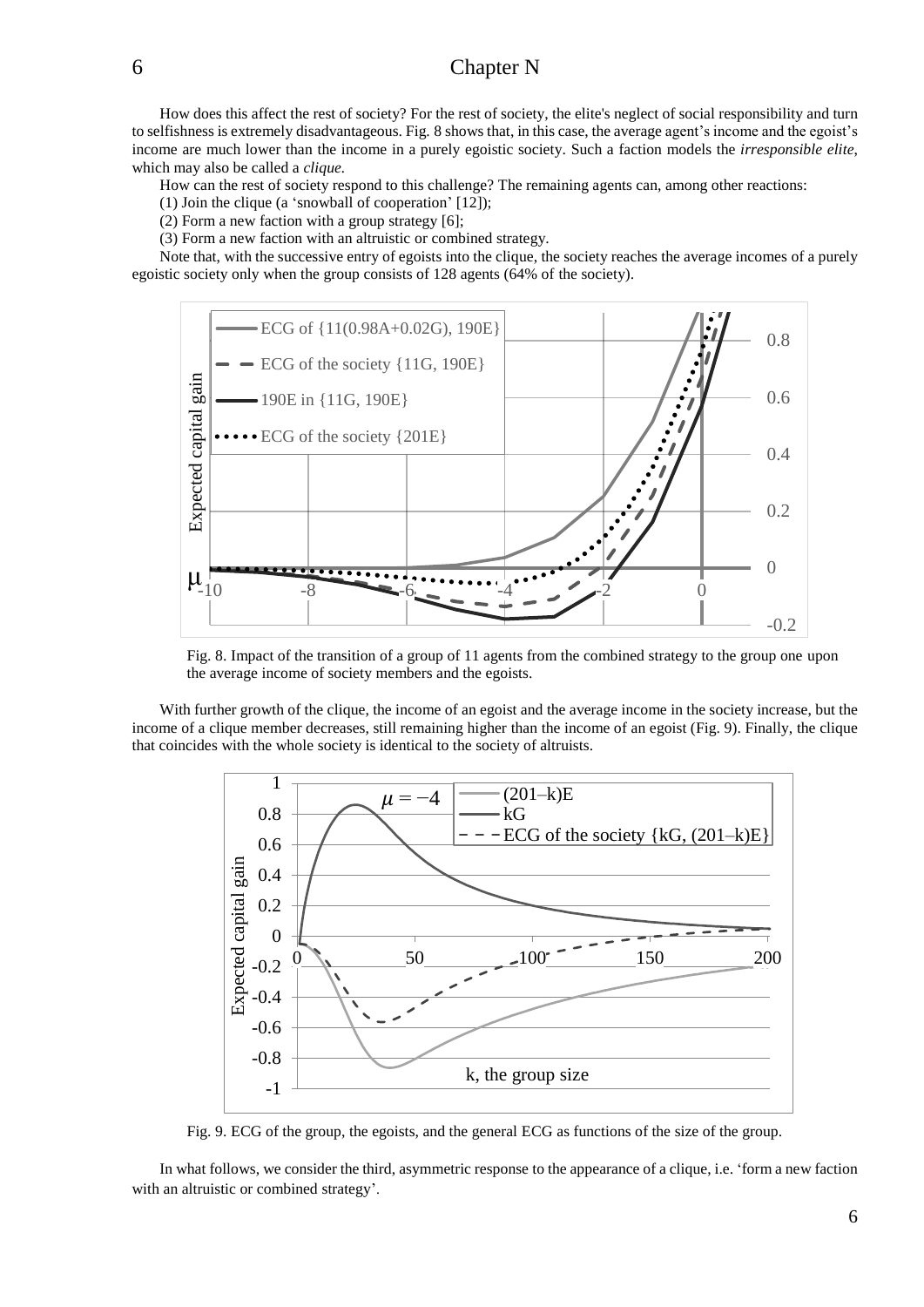How does this affect the rest of society? For the rest of society, the elite's neglect of social responsibility and turn to selfishness is extremely disadvantageous. Fig. 8 shows that, in this case, the average agent's income and the egoist's income are much lower than the income in a purely egoistic society. Such a faction models the *irresponsible elite*, which may also be called a *clique.*

How can the rest of society respond to this challenge? The remaining agents can, among other reactions:

(1) Join the clique (a 'snowball of cooperation' [12]);

(2) Form a new faction with a group strategy [6];

(3) Form a new faction with an altruistic or combined strategy.

Note that, with the successive entry of egoists into the clique, the society reaches the average incomes of a purely egoistic society only when the group consists of 128 agents (64% of the society).



Fig. 8. Impact of the transition of a group of 11 agents from the combined strategy to the group one upon the average income of society members and the egoists.

With further growth of the clique, the income of an egoist and the average income in the society increase, but the income of a clique member decreases, still remaining higher than the income of an egoist (Fig. 9). Finally, the clique that coincides with the whole society is identical to the society of altruists.



Fig. 9. ECG of the group, the egoists, and the general ECG as functions of the size of the group.

In what follows, we consider the third, asymmetric response to the appearance of a clique, i.e. 'form a new faction with an altruistic or combined strategy'.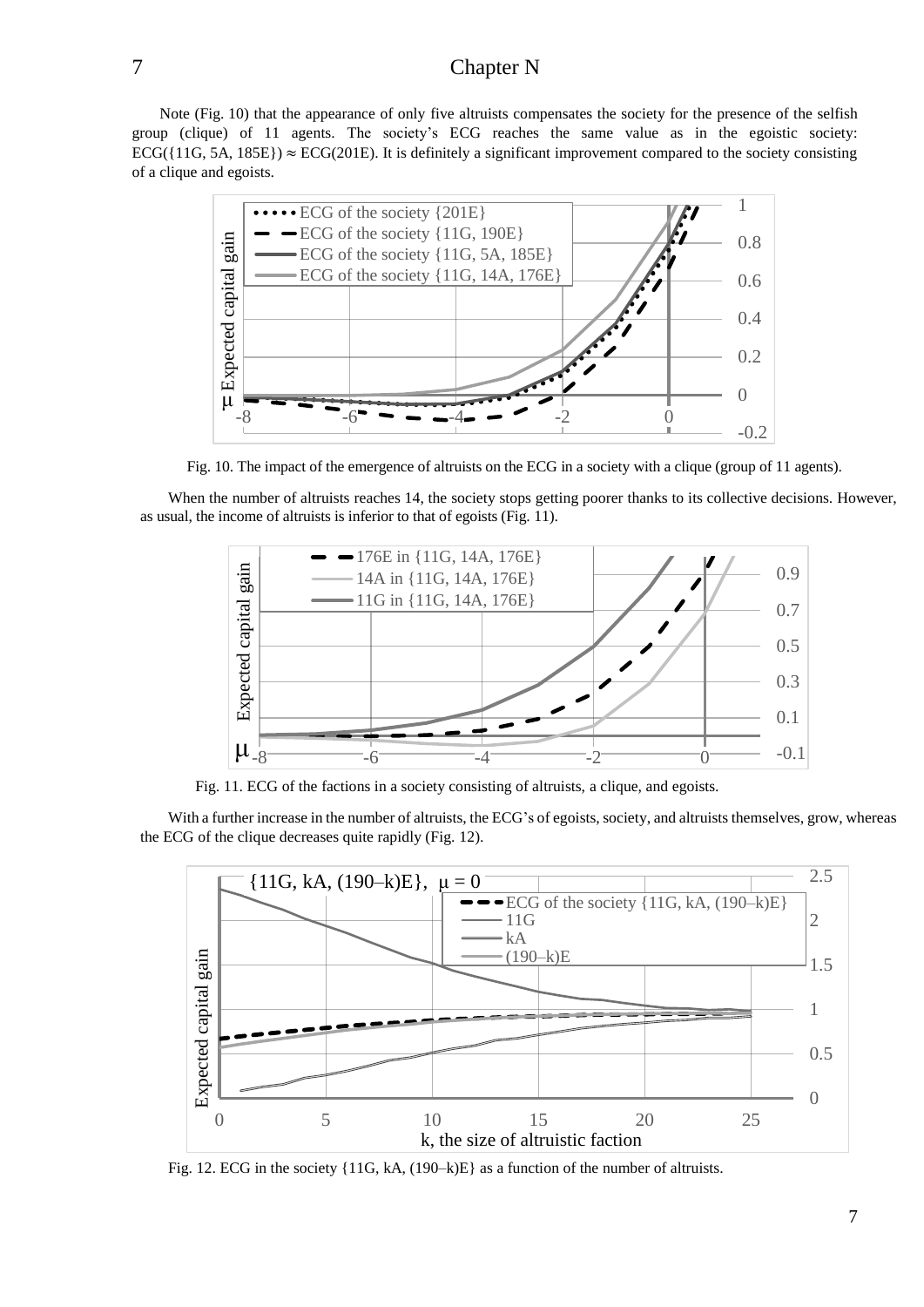Note (Fig. 10) that the appearance of only five altruists compensates the society for the presence of the selfish group (clique) of 11 agents. The society's ECG reaches the same value as in the egoistic society: ECG( $\{11G, 5A, 185E\}$ )  $\approx$  ECG(201E). It is definitely a significant improvement compared to the society consisting of a clique and egoists.



Fig. 10. The impact of the emergence of altruists on the ECG in a society with a clique (group of 11 agents).

When the number of altruists reaches 14, the society stops getting poorer thanks to its collective decisions. However, as usual, the income of altruists is inferior to that of egoists (Fig. 11).



Fig. 11. ECG of the factions in a society consisting of altruists, a clique, and egoists.

With a further increase in the number of altruists, the ECG's of egoists, society, and altruists themselves, grow, whereas the ECG of the clique decreases quite rapidly (Fig. 12).



Fig. 12. ECG in the society {11G, kA, (190–k)E} as a function of the number of altruists.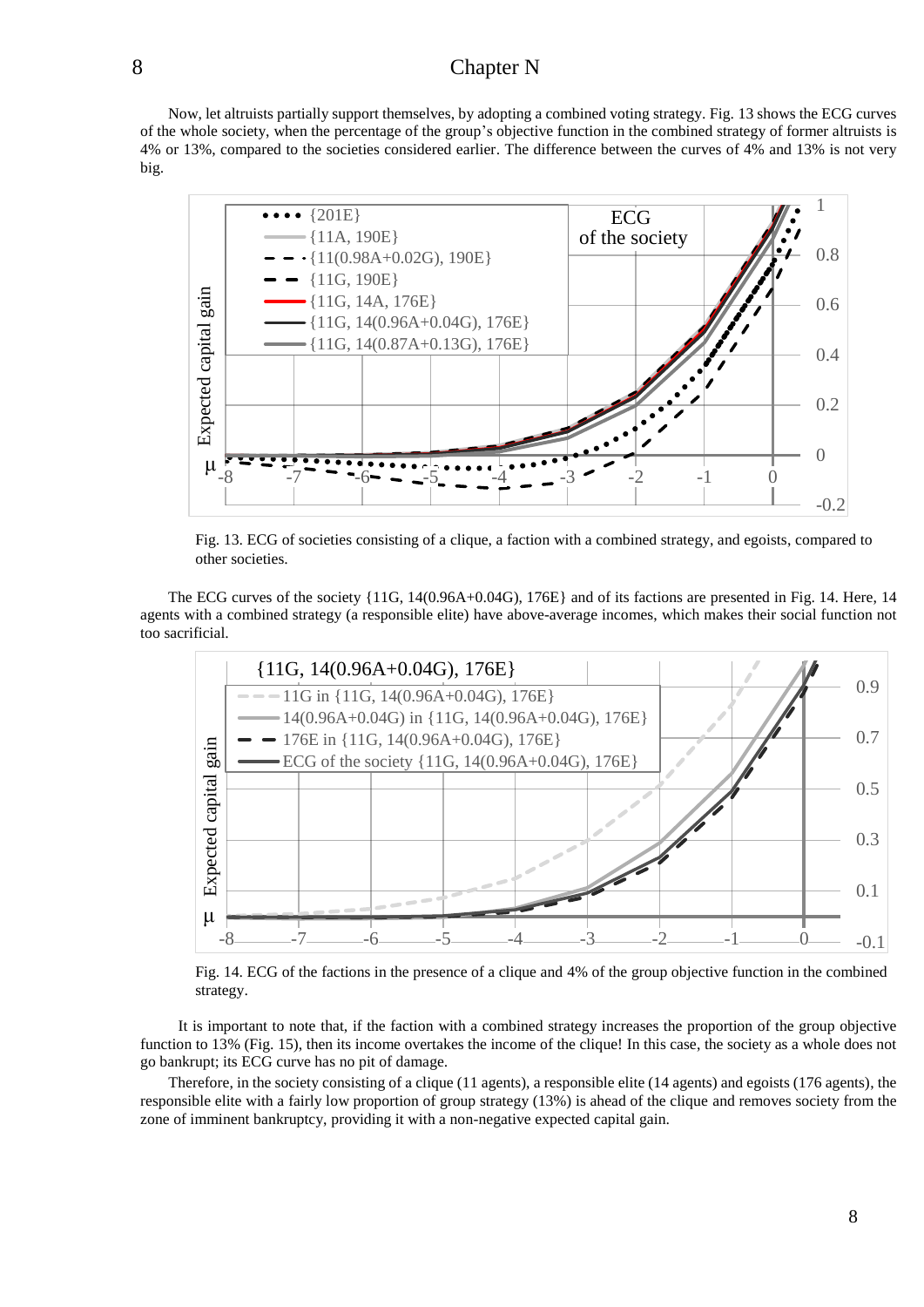Now, let altruists partially support themselves, by adopting a combined voting strategy. Fig. 13 shows the ECG curves of the whole society, when the percentage of the group's objective function in the combined strategy of former altruists is 4% or 13%, compared to the societies considered earlier. The difference between the curves of 4% and 13% is not very big.



Fig. 13. ECG of societies consisting of a clique, a faction with a combined strategy, and egoists, compared to other societies.

The ECG curves of the society {11G, 14(0.96A+0.04G), 176E} and of its factions are presented in Fig. 14. Here, 14 agents with a combined strategy (a responsible elite) have above-average incomes, which makes their social function not too sacrificial.



Fig. 14. ECG of the factions in the presence of a clique and 4% of the group objective function in the combined strategy.

It is important to note that, if the faction with a combined strategy increases the proportion of the group objective function to 13% (Fig. 15), then its income overtakes the income of the clique! In this case, the society as a whole does not go bankrupt; its ECG curve has no pit of damage.

Therefore, in the society consisting of а clique (11 agents), a responsible elite (14 agents) and egoists (176 agents), the responsible elite with a fairly low proportion of group strategy (13%) is ahead of the clique and removes society from the zone of imminent bankruptcy, providing it with a non-negative expected capital gain.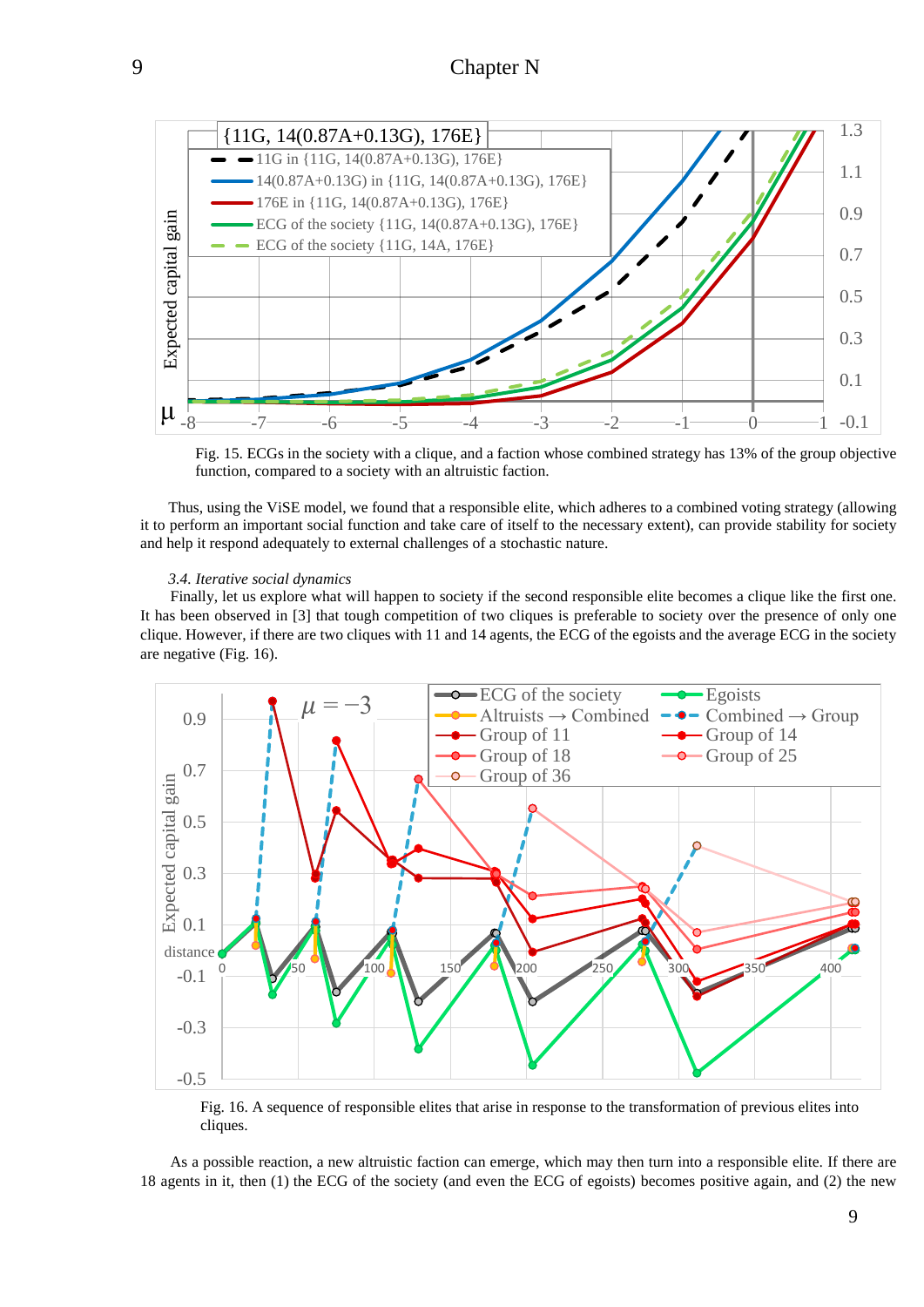

Fig. 15. ECGs in the society with a clique, and a faction whose combined strategy has 13% of the group objective function, compared to a society with an altruistic faction.

Thus, using the ViSE model, we found that a responsible elite, which adheres to a combined voting strategy (allowing it to perform an important social function and take care of itself to the necessary extent), can provide stability for society and help it respond adequately to external challenges of a stochastic nature.

#### *3.4. Iterative social dynamics*

Finally, let us explore what will happen to society if the second responsible elite becomes a clique like the first one. It has been observed in [3] that tough competition of two cliques is preferable to society over the presence of only one clique. However, if there are two cliques with 11 and 14 agents, the ECG of the egoists and the average ECG in the society are negative (Fig. 16).



Fig. 16. A sequence of responsible elites that arise in response to the transformation of previous elites into cliques.

As a possible reaction, a new altruistic faction can emerge, which may then turn into a responsible elite. If there are 18 agents in it, then (1) the ECG of the society (and even the ECG of egoists) becomes positive again, and (2) the new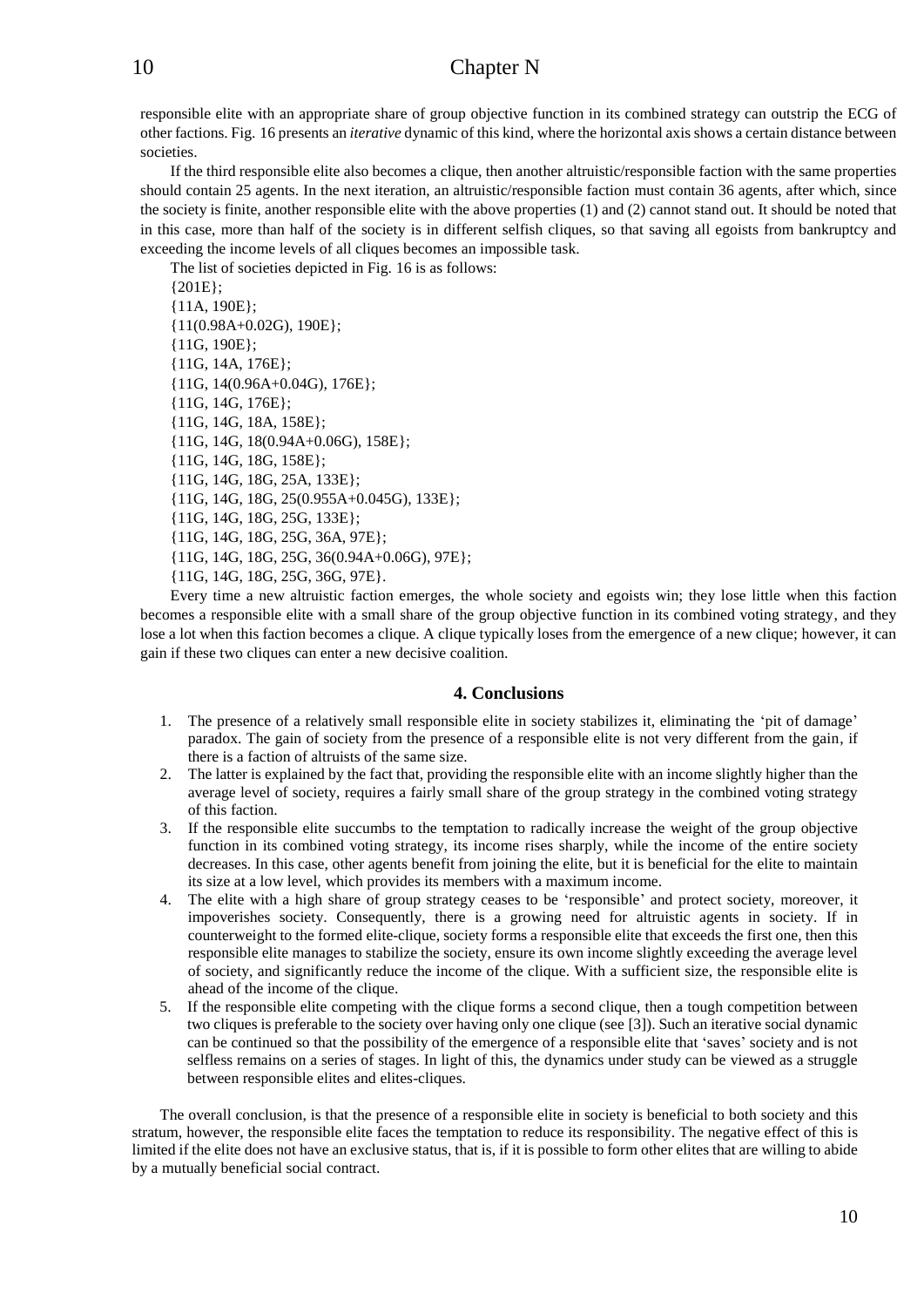responsible elite with an appropriate share of group objective function in its combined strategy can outstrip the ECG of other factions. Fig. 16 presents an *iterative* dynamic of this kind, where the horizontal axis shows a certain distance between societies.

If the third responsible elite also becomes a clique, then another altruistic/responsible faction with the same properties should contain 25 agents. In the next iteration, an altruistic/responsible faction must contain 36 agents, after which, since the society is finite, another responsible elite with the above properties (1) and (2) cannot stand out. It should be noted that in this case, more than half of the society is in different selfish cliques, so that saving all egoists from bankruptcy and exceeding the income levels of all cliques becomes an impossible task.

The list of societies depicted in Fig. 16 is as follows: {201E}; {11A, 190E}; {11(0.98A+0.02G), 190E}; {11G, 190E}; {11G, 14A, 176E}; {11G, 14(0.96A+0.04G), 176E}; {11G, 14G, 176E}; {11G, 14G, 18A, 158E}; {11G, 14G, 18(0.94A+0.06G), 158E}; {11G, 14G, 18G, 158E}; {11G, 14G, 18G, 25A, 133E}; {11G, 14G, 18G, 25(0.955A+0.045G), 133E}; {11G, 14G, 18G, 25G, 133E}; {11G, 14G, 18G, 25G, 36A, 97E}; {11G, 14G, 18G, 25G, 36(0.94A+0.06G), 97E}; {11G, 14G, 18G, 25G, 36G, 97E}.

Every time a new altruistic faction emerges, the whole society and egoists win; they lose little when this faction becomes a responsible elite with a small share of the group objective function in its combined voting strategy, and they lose a lot when this faction becomes a clique. A clique typically loses from the emergence of a new clique; however, it can gain if these two cliques can enter a new decisive coalition.

#### **4. Conclusions**

- 1. The presence of a relatively small responsible elite in society stabilizes it, eliminating the 'pit of damage' paradox. The gain of society from the presence of a responsible elite is not very different from the gain, if there is a faction of altruists of the same size.
- 2. The latter is explained by the fact that, providing the responsible elite with an income slightly higher than the average level of society, requires a fairly small share of the group strategy in the combined voting strategy of this faction.
- 3. If the responsible elite succumbs to the temptation to radically increase the weight of the group objective function in its combined voting strategy, its income rises sharply, while the income of the entire society decreases. In this case, other agents benefit from joining the elite, but it is beneficial for the elite to maintain its size at a low level, which provides its members with a maximum income.
- 4. The elite with a high share of group strategy ceases to be 'responsible' and protect society, moreover, it impoverishes society. Consequently, there is a growing need for altruistic agents in society. If in counterweight to the formed elite-clique, society forms a responsible elite that exceeds the first one, then this responsible elite manages to stabilize the society, ensure its own income slightly exceeding the average level of society, and significantly reduce the income of the clique. With a sufficient size, the responsible elite is ahead of the income of the clique.
- 5. If the responsible elite competing with the clique forms a second clique, then a tough competition between two cliques is preferable to the society over having only one clique (see [3]). Such an iterative social dynamic can be continued so that the possibility of the emergence of a responsible elite that 'saves' society and is not selfless remains on a series of stages. In light of this, the dynamics under study can be viewed as a struggle between responsible elites and elites-cliques.

The overall conclusion, is that the presence of a responsible elite in society is beneficial to both society and this stratum, however, the responsible elite faces the temptation to reduce its responsibility. The negative effect of this is limited if the elite does not have an exclusive status, that is, if it is possible to form other elites that are willing to abide by a mutually beneficial social contract.